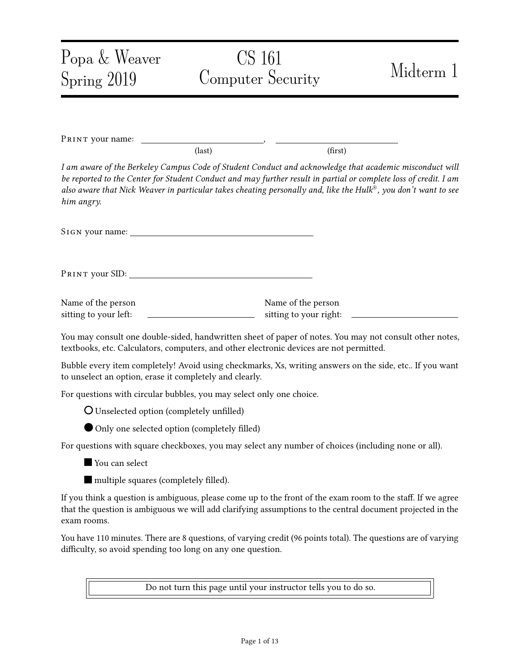| Popa & Weaver<br>Spring 2019                                         | CS 161<br>Computer Security                                                                                                                                                                                                                                                                                                                   | Midterm 1 |
|----------------------------------------------------------------------|-----------------------------------------------------------------------------------------------------------------------------------------------------------------------------------------------------------------------------------------------------------------------------------------------------------------------------------------------|-----------|
|                                                                      |                                                                                                                                                                                                                                                                                                                                               |           |
| PRINT your name:                                                     | (first)<br>$\text{(last)}$                                                                                                                                                                                                                                                                                                                    |           |
| him angry.                                                           | I am aware of the Berkeley Campus Code of Student Conduct and acknowledge that academic misconduct will<br>be reported to the Center for Student Conduct and may further result in partial or complete loss of credit. I am<br>also aware that Nick Weaver in particular takes cheating personally and, like the Hulk®, you don't want to see |           |
|                                                                      |                                                                                                                                                                                                                                                                                                                                               |           |
|                                                                      |                                                                                                                                                                                                                                                                                                                                               |           |
| Name of the person<br>sitting to your left:                          | Name of the person<br>sitting to your right:                                                                                                                                                                                                                                                                                                  |           |
|                                                                      | You may consult one double-sided, handwritten sheet of paper of notes. You may not consult other notes,<br>textbooks, etc. Calculators, computers, and other electronic devices are not permitted.                                                                                                                                            |           |
| to unselect an option, erase it completely and clearly.              | Bubble every item completely! Avoid using checkmarks, Xs, writing answers on the side, etc If you want                                                                                                                                                                                                                                        |           |
| For questions with circular bubbles, you may select only one choice. |                                                                                                                                                                                                                                                                                                                                               |           |
| <b>O</b> Unselected option (completely unfilled)                     |                                                                                                                                                                                                                                                                                                                                               |           |
| Only one selected option (completely filled)                         |                                                                                                                                                                                                                                                                                                                                               |           |
|                                                                      | For questions with square checkboxes, you may select any number of choices (including none or all).                                                                                                                                                                                                                                           |           |
| You can select                                                       |                                                                                                                                                                                                                                                                                                                                               |           |
| multiple squares (completely filled).                                |                                                                                                                                                                                                                                                                                                                                               |           |
| exam rooms.                                                          | If you think a question is ambiguous, please come up to the front of the exam room to the staff. If we agree<br>that the question is ambiguous we will add clarifying assumptions to the central document projected in the                                                                                                                    |           |
| difficulty, so avoid spending too long on any one question.          | You have 110 minutes. There are 8 questions, of varying credit (96 points total). The questions are of varying                                                                                                                                                                                                                                |           |

Do not turn this page until your instructor tells you to do so.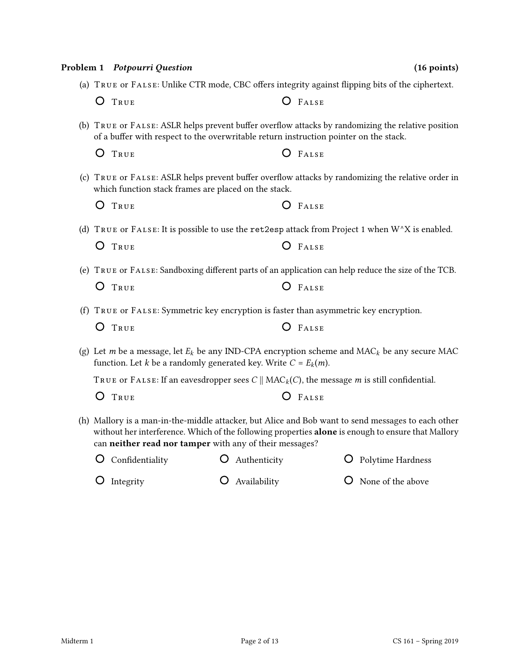|   | Problem 1 Potpourri Question                                      |              | $(16$ points)                                                                                                                                                                                            |
|---|-------------------------------------------------------------------|--------------|----------------------------------------------------------------------------------------------------------------------------------------------------------------------------------------------------------|
|   |                                                                   |              | (a) TRUE OF FALSE: Unlike CTR mode, CBC offers integrity against flipping bits of the ciphertext.                                                                                                        |
| O | TRUE                                                              |              | $O$ FALSE                                                                                                                                                                                                |
|   |                                                                   |              | (b) TRUE OF FALSE: ASLR helps prevent buffer overflow attacks by randomizing the relative position<br>of a buffer with respect to the overwritable return instruction pointer on the stack.              |
| O | TRUE                                                              |              | $O$ FALSE                                                                                                                                                                                                |
|   | which function stack frames are placed on the stack.              |              | (c) TRUE or FALSE: ASLR helps prevent buffer overflow attacks by randomizing the relative order in                                                                                                       |
| O | TRUE                                                              |              | $O$ FALSE                                                                                                                                                                                                |
|   |                                                                   |              | (d) TRUE or FALSE: It is possible to use the ret2esp attack from Project 1 when $W^{\wedge}X$ is enabled.                                                                                                |
| Ő | TRUE                                                              |              | O FALSE                                                                                                                                                                                                  |
|   |                                                                   |              | (e) TRUE or FALSE: Sandboxing different parts of an application can help reduce the size of the TCB.                                                                                                     |
| Ő | TRUE                                                              |              | $O$ FALSE                                                                                                                                                                                                |
|   |                                                                   |              | (f) TRUE or FALSE: Symmetric key encryption is faster than asymmetric key encryption.                                                                                                                    |
| Ő | TRUE                                                              |              | FALSE                                                                                                                                                                                                    |
|   | function. Let k be a randomly generated key. Write $C = E_k(m)$ . |              | (g) Let m be a message, let $E_k$ be any IND-CPA encryption scheme and MAC <sub>k</sub> be any secure MAC                                                                                                |
|   |                                                                   |              | TRUE OF FALSE: If an eavesdropper sees $C \parallel MAC_k(C)$ , the message <i>m</i> is still confidential.                                                                                              |
|   | O TRUE                                                            |              | $O$ FALSE                                                                                                                                                                                                |
|   | can neither read nor tamper with any of their messages?           |              | (h) Mallory is a man-in-the-middle attacker, but Alice and Bob want to send messages to each other<br>without her interference. Which of the following properties alone is enough to ensure that Mallory |
| Ő | Confidentiality                                                   | Authenticity | Polytime Hardness                                                                                                                                                                                        |
| Ò | Integrity                                                         | Availability | None of the above                                                                                                                                                                                        |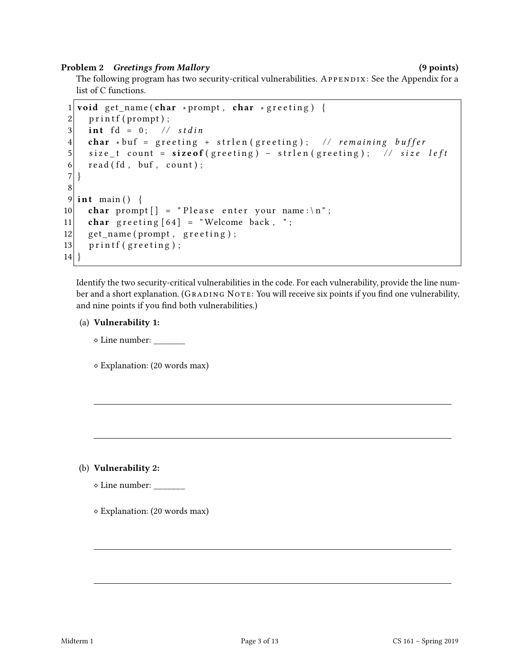## Problem 2 Greetings from Mallory (9 points) (9 points)

The following program has two security-critical vulnerabilities. APPENDIX: See the Appendix for a list of C functions.

```
1 void get_name (char * prompt, char * greeting) {
2 printf (prompt);
3 int fd = 0; // stdin
4 char ∗ buf = greeting + strlen (greeting); // remaining buffer
5 size_t count = sizeof (greeting) - strlen (greeting); // size left
6 read (fd, buf, count);
\sqrt{ }8
9 int main () {
10 char prompt \begin{bmatrix} \end{bmatrix} = "Please enter your name: \n";
11 char greeting [64] = "Welcome back, ";
12 get_name (prompt, greeting);
13 printf (greeting);
14 }
```
Identify the two security-critical vulnerabilities in the code. For each vulnerability, provide the line number and a short explanation. (GRADING NOTE: You will receive six points if you find one vulnerability, and nine points if you find both vulnerabilities.)

## (a) Vulnerability 1:

⋄ Line number: \_\_\_\_\_\_\_

⋄ Explanation: (20 words max)

(b) Vulnerability 2:

 $\diamond$  Line number:

⋄ Explanation: (20 words max)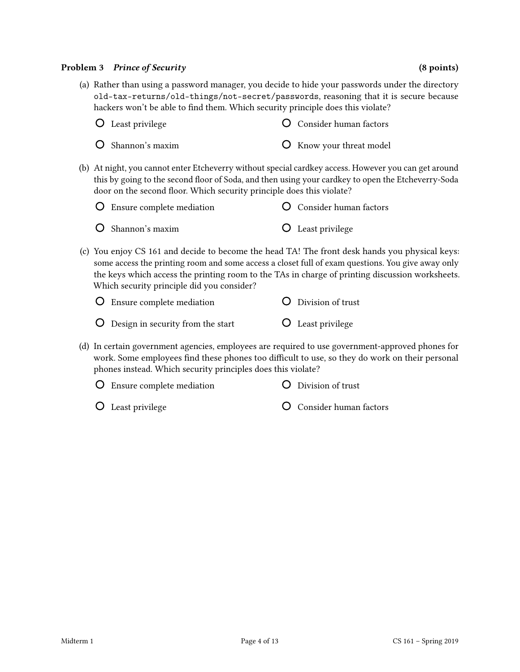## Problem 3 Prince of Security (8 points) (8 points)

## (a) Rather than using a password manager, you decide to hide your passwords under the directory old-tax-returns/old-things/not-secret/passwords, reasoning that it is secure because hackers won't be able to find them. Which security principle does this violate?

| <b>O</b> Least privilege       | <b>O</b> Consider human factors |
|--------------------------------|---------------------------------|
| $\overline{O}$ Shannon's maxim | <b>O</b> Know your threat model |

(b) At night, you cannot enter Etcheverry without special cardkey access. However you can get around this by going to the second floor of Soda, and then using your cardkey to open the Etcheverry-Soda door on the second floor. Which security principle does this violate?

| $\bigcirc$ Ensure complete mediation | <b>O</b> Consider human factors |
|--------------------------------------|---------------------------------|
| $O$ Shannon's maxim                  | <b>O</b> Least privilege        |

(c) You enjoy CS 161 and decide to become the head TA! The front desk hands you physical keys: some access the printing room and some access a closet full of exam questions. You give away only the keys which access the printing room to the TAs in charge of printing discussion worksheets. Which security principle did you consider?

| <b>O</b> Ensure complete mediation         | O Division of trust      |
|--------------------------------------------|--------------------------|
| <b>O</b> Design in security from the start | <b>O</b> Least privilege |

(d) In certain government agencies, employees are required to use government-approved phones for work. Some employees find these phones too difficult to use, so they do work on their personal phones instead. Which security principles does this violate?

| O Ensure complete mediation | O Division of trust             |
|-----------------------------|---------------------------------|
| $\bigcirc$ Least privilege  | <b>O</b> Consider human factors |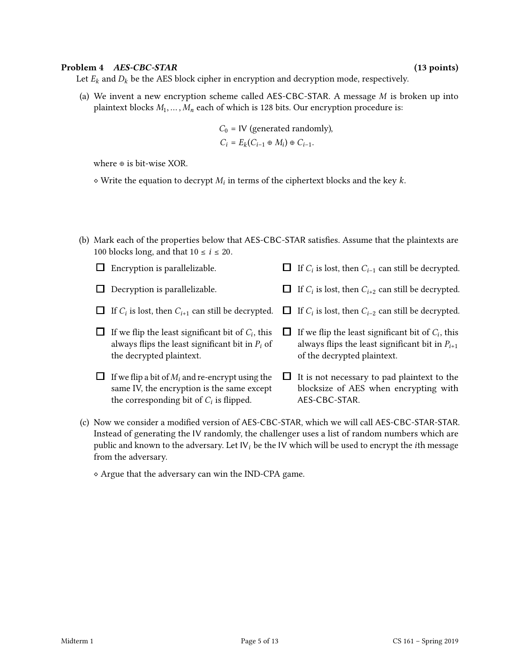### Problem 4 AES-CBC-STAR (13 points)

Let  $E_k$  and  $D_k$  be the AES block cipher in encryption and decryption mode, respectively.

(a) We invent a new encryption scheme called AES-CBC-STAR. A message  $M$  is broken up into plaintext blocks  $M_1, \ldots, M_n$  each of which is 128 bits. Our encryption procedure is:

$$
C_0 = \text{IV}
$$
 (generated randomly),  
 $C_i = E_k(C_{i-1} \oplus M_i) \oplus C_{i-1}.$ 

where ⊕ is bit-wise XOR.

- $\diamond$  Write the equation to decrypt  $M_i$  in terms of the ciphertext blocks and the key  $k$ .
- (b) Mark each of the properties below that AES-CBC-STAR satisfies. Assume that the plaintexts are 100 blocks long, and that  $10 \le i \le 20$ .

| Encryption is parallelizable.                                                                                                                  |   | $\Box$ If $C_i$ is lost, then $C_{i-1}$ can still be decrypted.                                                                            |
|------------------------------------------------------------------------------------------------------------------------------------------------|---|--------------------------------------------------------------------------------------------------------------------------------------------|
| Decryption is parallelizable.                                                                                                                  |   | If $C_i$ is lost, then $C_{i+2}$ can still be decrypted.                                                                                   |
| $\Box$ If $C_i$ is lost, then $C_{i+1}$ can still be decrypted.                                                                                |   | $\Box$ If $C_i$ is lost, then $C_{i-2}$ can still be decrypted.                                                                            |
| If we flip the least significant bit of $C_i$ , this<br>always flips the least significant bit in $P_i$ of<br>the decrypted plaintext.         | ப | If we flip the least significant bit of $C_i$ , this<br>always flips the least significant bit in $P_{i+1}$<br>of the decrypted plaintext. |
| If we flip a bit of $M_i$ and re-encrypt using the<br>same IV, the encryption is the same except<br>the corresponding bit of $C_i$ is flipped. |   | It is not necessary to pad plaintext to the<br>blocksize of AES when encrypting with<br>AES-CBC-STAR.                                      |

(c) Now we consider a modied version of AES-CBC-STAR, which we will call AES-CBC-STAR-STAR. Instead of generating the IV randomly, the challenger uses a list of random numbers which are public and known to the adversary. Let  $|V_i|$  be the IV which will be used to encrypt the *i*th message from the adversary.

⋄ Argue that the adversary can win the IND-CPA game.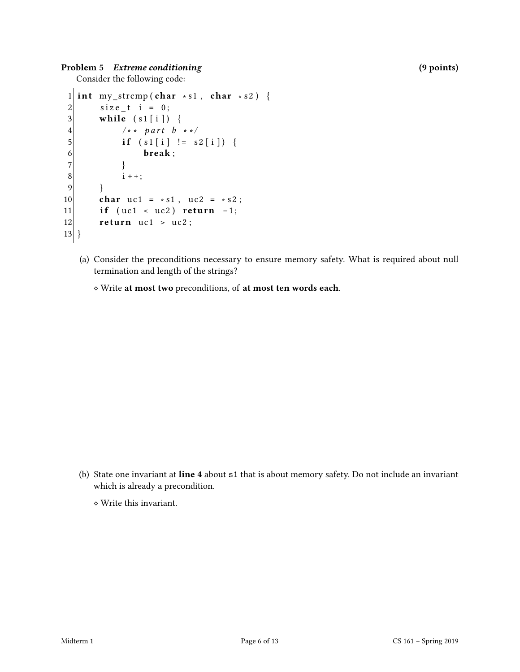Problem 5 Extreme conditioning (9 points)

Consider the following code:

```
1 int my_strcmp (char * s1, char * s2) {
 2 \mid size_t i = 0;
 3 while (s1[i]) {
 4 \left| \begin{array}{ccc} & \frac{1}{2} & \frac{1}{2} \\ 5 & \frac{1}{2} & \frac{1}{2} \\ 1 & \frac{1}{2} & \frac{1}{2} \\ 1 & \frac{1}{2} & \frac{1}{2} \\ 1 & \frac{1}{2} & \frac{1}{2} \\ 1 & \frac{1}{2} & \frac{1}{2} \\ 1 & \frac{1}{2} & \frac{1}{2} \\ 1 & \frac{1}{2} & \frac{1}{2} \\ 1 & \frac{1}{2} & \frac{1}{2} \\ 1 & \frac{1}{2} & \frac{1}{2} \\ 1 & \frac{1}{2} & \frac{1}{2} \\ if (s1[i] := s2[i]) {
 6 break;
  7 }
 8 i + +;9 }
10 char uc1 = * s1, uc2 = * s2;
11 if (uc1 < uc2) return -1;
12 return uc1 > uc2;
13 }
```
(a) Consider the preconditions necessary to ensure memory safety. What is required about null termination and length of the strings?

⋄ Write at most two preconditions, of at most ten words each.

(b) State one invariant at line 4 about s1 that is about memory safety. Do not include an invariant which is already a precondition.

⋄ Write this invariant.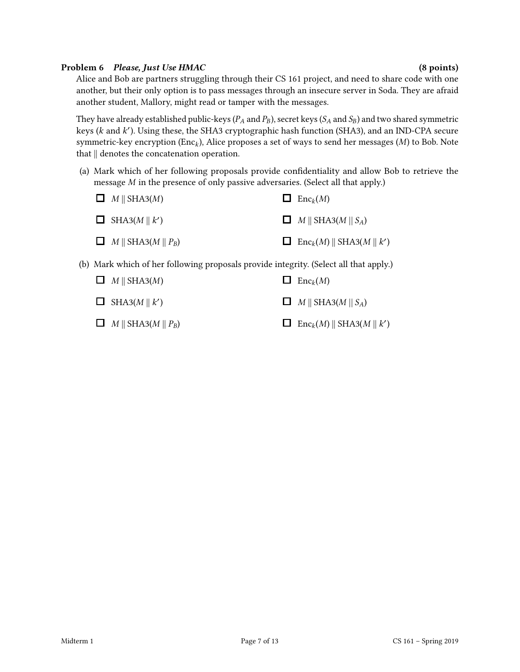## Problem 6 Please, Just Use HMAC (8 points) (8 points)

Alice and Bob are partners struggling through their CS 161 project, and need to share code with one another, but their only option is to pass messages through an insecure server in Soda. They are afraid another student, Mallory, might read or tamper with the messages.

They have already established public-keys ( $P_A$  and  $P_B$ ), secret keys ( $S_A$  and  $S_B$ ) and two shared symmetric keys ( $k$  and  $k'$ ). Using these, the SHA3 cryptographic hash function (SHA3), and an IND-CPA secure symmetric-key encryption ( $Enc_k$ ), Alice proposes a set of ways to send her messages ( $M$ ) to Bob. Note that || denotes the concatenation operation.

(a) Mark which of her following proposals provide condentiality and allow Bob to retrieve the message  $M$  in the presence of only passive adversaries. (Select all that apply.)

| $\Box$ M    SHA3(M)                    | $\Box$ Enc <sub>k</sub> $(M)$                |
|----------------------------------------|----------------------------------------------|
| $\Box$ SHA3(M    k')                   | $\Box$ M    SHA3(M    S <sub>A</sub> )       |
| $\Box$ M    SHA3(M    P <sub>B</sub> ) | $\Box$ Enc <sub>k</sub> (M)    SHA3(M    k') |

(b) Mark which of her following proposals provide integrity. (Select all that apply.)

| $\Box$ M    SHA3(M)                    | $\Box$ Enc <sub>k</sub> $(M)$                            |
|----------------------------------------|----------------------------------------------------------|
| $\Box$ SHA3(M    k')                   | $\Box$ M    SHA3(M    S <sub>A</sub> )                   |
| $\Box$ M    SHA3(M    P <sub>B</sub> ) | $\Box$ Enc <sub>k</sub> $(M)$    SHA3 $(M \parallel k')$ |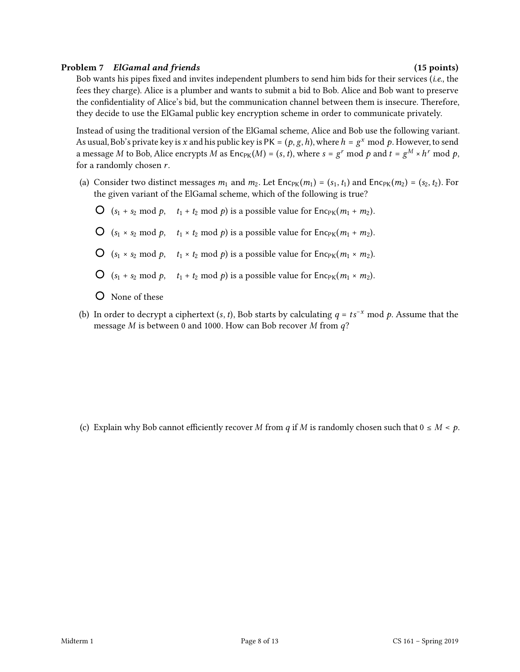## Problem 7 ElGamal and friends (15 points) (15 points)

Bob wants his pipes fixed and invites independent plumbers to send him bids for their services (i.e., the fees they charge). Alice is a plumber and wants to submit a bid to Bob. Alice and Bob want to preserve the confidentiality of Alice's bid, but the communication channel between them is insecure. Therefore, they decide to use the ElGamal public key encryption scheme in order to communicate privately.

Instead of using the traditional version of the ElGamal scheme, Alice and Bob use the following variant. As usual, Bob's private key is x and his public key is  $PK = (p, g, h)$ , where  $h = g^x \mod p$ . However, to send a message  $M$  to Bob, Alice encrypts  $M$  as Enc $_{\rm PK}(M)$  = (s, t), where  $s$  =  $g^r$  mod  $p$  and  $t$  =  $g^M \times h^r$  mod  $p$ , for a randomly chosen  $r$ .

- (a) Consider two distinct messages  $m_1$  and  $m_2$ . Let  $\text{Enc}_{PK}(m_1) = (s_1, t_1)$  and  $\text{Enc}_{PK}(m_2) = (s_2, t_2)$ . For the given variant of the ElGamal scheme, which of the following is true?
	- $\bigcirc$  (s<sub>1</sub> + s<sub>2</sub> mod p, t<sub>1</sub> + t<sub>2</sub> mod p) is a possible value for Enc<sub>PK</sub>(m<sub>1</sub> + m<sub>2</sub>).
	- $\bigcirc$  (s<sub>1</sub> × s<sub>2</sub> mod p,  $t_1 \times t_2$  mod p) is a possible value for Enc<sub>PK</sub>( $m_1 + m_2$ ).
	- $\bigcirc$   $(s_1 \times s_2 \mod p, \quad t_1 \times t_2 \mod p)$  is a possible value for  $\text{Enc}_{PK}(m_1 \times m_2)$ .
	- $\bigcirc$  (s<sub>1</sub> + s<sub>2</sub> mod p, t<sub>1</sub> + t<sub>2</sub> mod p) is a possible value for Enc<sub>PK</sub>( $m_1 \times m_2$ ).
	- None of these
- (b) In order to decrypt a ciphertext (s, t), Bob starts by calculating  $q = ts^{-x} \mod p$ . Assume that the message  $M$  is between 0 and 1000. How can Bob recover  $M$  from  $q$ ?

(c) Explain why Bob cannot efficiently recover M from q if M is randomly chosen such that  $0 \le M < p$ .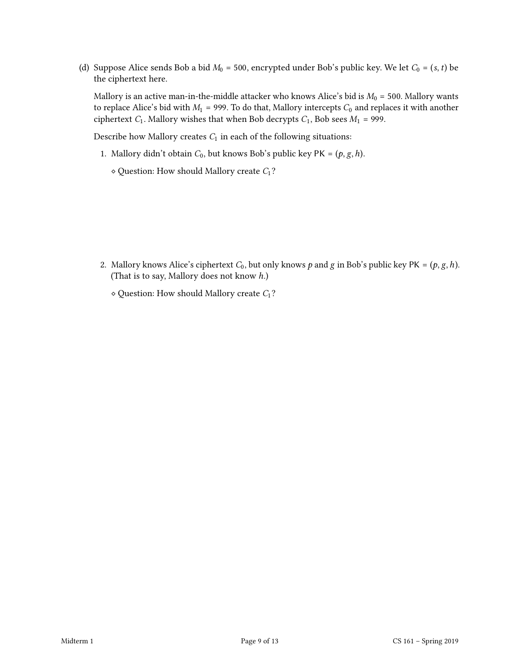(d) Suppose Alice sends Bob a bid  $M_0$  = 500, encrypted under Bob's public key. We let  $C_0 = (s, t)$  be the ciphertext here.

Mallory is an active man-in-the-middle attacker who knows Alice's bid is  $M_0 = 500$ . Mallory wants to replace Alice's bid with  $M_1$  = 999. To do that, Mallory intercepts  $C_0$  and replaces it with another ciphertext  $C_1$ . Mallory wishes that when Bob decrypts  $C_1$ , Bob sees  $M_1$  = 999.

Describe how Mallory creates  $C_1$  in each of the following situations:

- 1. Mallory didn't obtain  $C_0$ , but knows Bob's public key PK =  $(p, g, h)$ .
	- $\diamond$  Question: How should Mallory create  $C_1$ ?

- 2. Mallory knows Alice's ciphertext  $C_0$ , but only knows  $p$  and  $g$  in Bob's public key PK =  $(p, g, h)$ . (That is to say, Mallory does not know ℎ.)
	- $\diamond$  Question: How should Mallory create  $C_1$ ?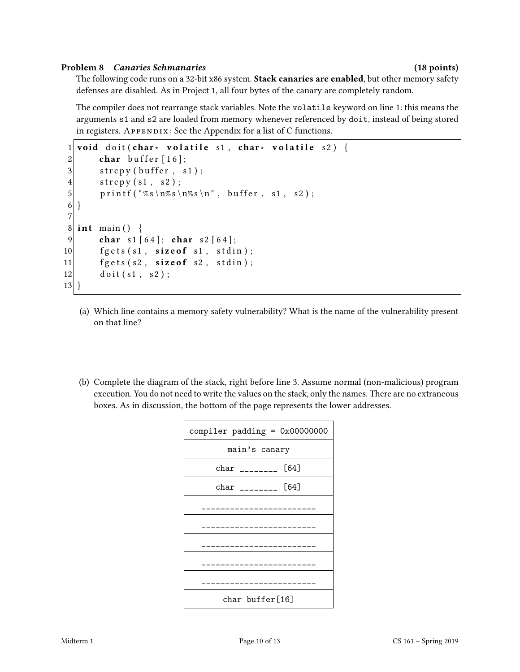## Problem 8 Canaries Schmanaries (18 points)

The following code runs on a 32-bit x86 system. Stack canaries are enabled, but other memory safety defenses are disabled. As in Project 1, all four bytes of the canary are completely random.

The compiler does not rearrange stack variables. Note the volatile keyword on line 1: this means the arguments s1 and s2 are loaded from memory whenever referenced by doit, instead of being stored in registers.  $APPENDIX: See the Appendix for a list of C functions.$ 

```
1 void doit (char * volatile s1, char * volatile s2) {
2 char buffer [16];
3 strcpy (buffer, s1);
4 \quad \text{strong (s1, s2)};
5 printf ("%s\n%s\n%s\n", buffer, s1, s2);
6 }
7
8 \mid \text{int } \text{main}() \mid9 char s1 [64]; char s2 [64];
10 fgets (s1, size of s1, stdin);
11 \left| \right| fgets (s2, size of s2, stdin);
12 doit (s1, s2);
13 }
```
- (a) Which line contains a memory safety vulnerability? What is the name of the vulnerability present on that line?
- (b) Complete the diagram of the stack, right before line 3. Assume normal (non-malicious) program execution. You do not need to write the values on the stack, only the names. There are no extraneous boxes. As in discussion, the bottom of the page represents the lower addresses.

| compiler padding = $0x00000000$ |
|---------------------------------|
| main's canary                   |
| [64]<br>char ________           |
| $char$ ________ [64]            |
| ---------                       |
| . _ _ _ _ _ _ _ _ _ _ _ _ _ _   |
| .                               |
|                                 |
|                                 |
| char buffer[16]                 |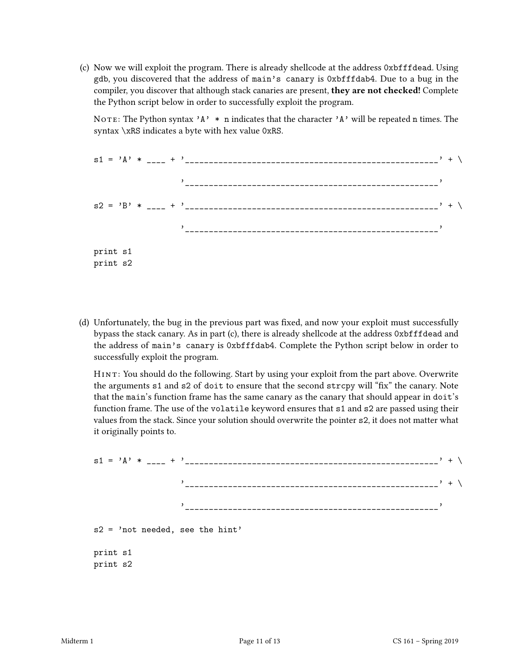(c) Now we will exploit the program. There is already shellcode at the address 0xbfffdead. Using gdb, you discovered that the address of main's canary is 0xbfffdab4. Due to a bug in the compiler, you discover that although stack canaries are present, they are not checked! Complete the Python script below in order to successfully exploit the program.

NOTE: The Python syntax 'A'  $*$  n indicates that the character 'A' will be repeated n times. The syntax \xRS indicates a byte with hex value 0xRS.

|                      |  |  | $s1 = 'A' *  + '$         |  | $, + \backslash$ |
|----------------------|--|--|---------------------------|--|------------------|
|                      |  |  |                           |  |                  |
|                      |  |  | $s2 = 'B' * --- + '-----$ |  |                  |
|                      |  |  |                           |  |                  |
| print s1<br>print s2 |  |  |                           |  |                  |

(d) Unfortunately, the bug in the previous part was fixed, and now your exploit must successfully bypass the stack canary. As in part (c), there is already shellcode at the address 0xbfffdead and the address of main's canary is 0xbfffdab4. Complete the Python script below in order to successfully exploit the program.

HINT: You should do the following. Start by using your exploit from the part above. Overwrite the arguments s1 and s2 of doit to ensure that the second strcpy will "fix" the canary. Note that the main's function frame has the same canary as the canary that should appear in doit's function frame. The use of the volatile keyword ensures that s1 and s2 are passed using their values from the stack. Since your solution should overwrite the pointer s2, it does not matter what it originally points to.

|                                   | $s1 = 'A' * --- + '$ |  |
|-----------------------------------|----------------------|--|
|                                   |                      |  |
|                                   |                      |  |
| $s2 = 'not needed, see the hint'$ |                      |  |
| print s1                          |                      |  |

print s2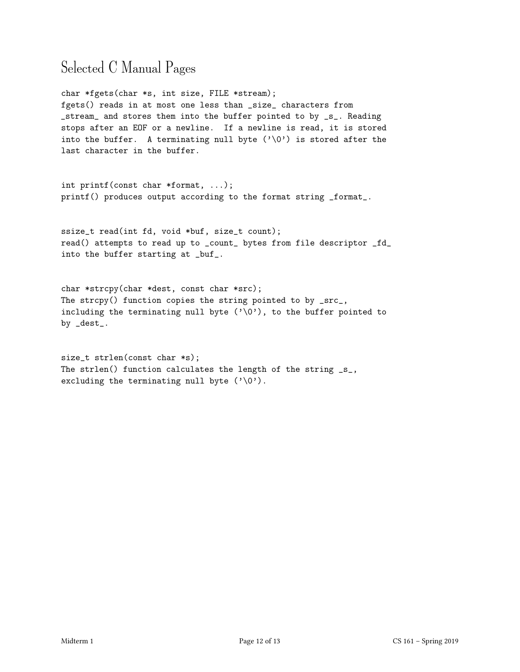## Selected C Manual Pages

char \*fgets(char \*s, int size, FILE \*stream); fgets() reads in at most one less than \_size\_ characters from \_stream\_ and stores them into the buffer pointed to by \_s\_. Reading stops after an EOF or a newline. If a newline is read, it is stored into the buffer. A terminating null byte  $(')\Diamond')$  is stored after the last character in the buffer.

int printf(const char \*format, ...); printf() produces output according to the format string \_format\_.

ssize\_t read(int fd, void \*buf, size\_t count); read() attempts to read up to \_count\_ bytes from file descriptor \_fd\_ into the buffer starting at \_buf\_.

char \*strcpy(char \*dest, const char \*src); The strcpy() function copies the string pointed to by \_src\_, including the terminating null byte  $(\cdot \setminus 0')$ , to the buffer pointed to by \_dest\_.

size\_t strlen(const char \*s); The strlen() function calculates the length of the string  $\text{S}_{-}$ , excluding the terminating null byte  $(\cdot \backslash 0')$ .